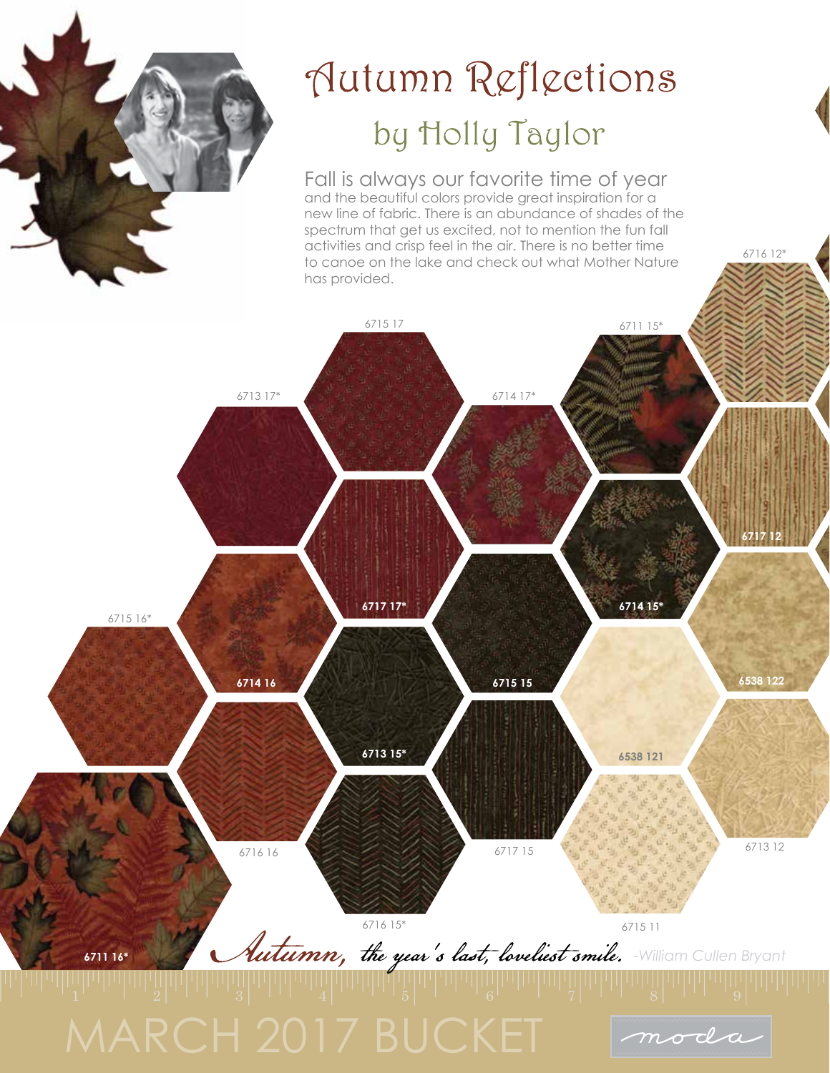

## Autumn Reflections by Holly Taylor

Fall is always our favorite time of year and the beautiful colors provide great inspiration for a new line of fabric. There is an abundance of shades of the spectrum that get us excited, not to mention the fun fall activities and crisp feel in the air. There is no better time to canoe on the lake and check out what Mother Nature has provided.

6716 12\*

moda